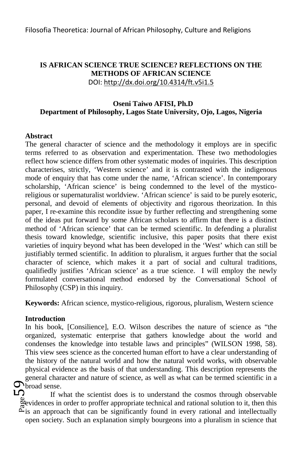## **IS AFRICAN SCIENCE TRUE SCIENCE? REFLECTIONS ON THE METHODS OF AFRICAN SCIENCE** DOI: http://dx.doi.org/10.4314/ft.v5i1.5

## **Oseni Taiwo AFISI, Ph.D Department of Philosophy, Lagos State University, Ojo, Lagos, Nigeria**

### **Abstract**

The general character of science and the methodology it employs are in specific terms referred to as observation and experimentation. These two methodologies reflect how science differs from other systematic modes of inquiries. This description characterises, strictly, 'Western science' and it is contrasted with the indigenous mode of enquiry that has come under the name, 'African science'. In contemporary scholarship, 'African science' is being condemned to the level of the mysticoreligious or supernaturalist worldview. 'African science' is said to be purely esoteric, personal, and devoid of elements of objectivity and rigorous theorization. In this paper, I re-examine this recondite issue by further reflecting and strengthening some of the ideas put forward by some African scholars to affirm that there is a distinct method of 'African science' that can be termed scientific. In defending a pluralist thesis toward knowledge, scientific inclusive, this paper posits that there exist varieties of inquiry beyond what has been developed in the 'West' which can still be justifiably termed scientific. In addition to pluralism, it argues further that the social character of science, which makes it a part of social and cultural traditions, qualifiedly justifies 'African science' as a true science. I will employ the newly formulated conversational method endorsed by the Conversational School of Philosophy (CSP) in this inquiry.

**Keywords:** African science, mystico-religious, rigorous, pluralism, Western science

## **Introduction**

In his book, [Consilience]*,* E.O. Wilson describes the nature of science as "the organized, systematic enterprise that gathers knowledge about the world and condenses the knowledge into testable laws and principles" (WILSON 1998, 58). This view sees science as the concerted human effort to have a clear understanding of the history of the natural world and how the natural world works, with observable physical evidence as the basis of that understanding. This description represents the general character and nature of science, as well as what can be termed scientific in a

 $\bigcup_{\substack{\omega\\ \text{e}}\text{evidence}\\ \text{a} \text{in} \\ \text{a} \text{in} \\ \text{a} \text{in} \\ \text{a} \text{in} \\ \text{a} \text{in} \\ \text{b} \text{in} \\ \text{b} \text{in} \\ \text{b} \text{in} \\ \text{b} \text{in} \\ \text{b} \text{in} \\ \text{c} \text{in} \\ \text{d} \text{in} \\ \text{d} \text{in} \\ \text{d} \text{in} \\ \text{d} \text{in} \\ \text{d} \text{in} \\ \text{d} \text{in} \\ \text{d} \text{in} \\ \$ If what the scientist does is to understand the cosmos through observable evidences in order to proffer appropriate technical and rational solution to it, then this  $\tilde{\Delta}$  is an approach that can be significantly found in every rational and intellectually open society. Such an explanation simply bourgeons into a pluralism in science that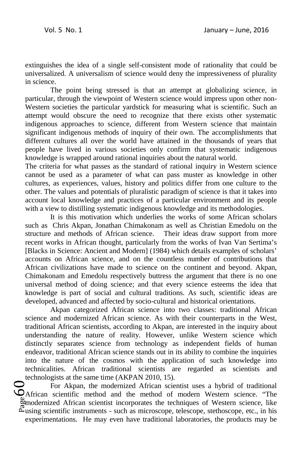extinguishes the idea of a single self-consistent mode of rationality that could be universalized. A universalism of science would deny the impressiveness of plurality in science.

The point being stressed is that an attempt at globalizing science, in particular, through the viewpoint of Western science would impress upon other non-Western societies the particular yardstick for measuring what is scientific. Such an attempt would obscure the need to recognize that there exists other systematic indigenous approaches to science, different from Western science that maintain significant indigenous methods of inquiry of their own. The accomplishments that different cultures all over the world have attained in the thousands of years that people have lived in various societies only confirm that systematic indigenous knowledge is wrapped around rational inquiries about the natural world.

The criteria for what passes as the standard of rational inquiry in Western science cannot be used as a parameter of what can pass muster as knowledge in other cultures, as experiences, values, history and politics differ from one culture to the other. The values and potentials of pluralistic paradigm of science is that it takes into account local knowledge and practices of a particular environment and its people with a view to distilling systematic indigenous knowledge and its methodologies.

It is this motivation which underlies the works of some African scholars such as Chris Akpan, Jonathan Chimakonam as well as Christian Emedolu on the structure and methods of African science. Their ideas draw support from more recent works in African thought, particularly from the works of Ivan Van Sertima's [Blacks in Science: Ancient and Modern] (1984) which details examples of scholars' accounts on African science, and on the countless number of contributions that African civilizations have made to science on the continent and beyond. Akpan, Chimakonam and Emedolu respectively buttress the argument that there is no one universal method of doing science; and that every science esteems the idea that knowledge is part of social and cultural traditions. As such, scientific ideas are developed, advanced and affected by socio-cultural and historical orientations.

Akpan categorized African science into two classes: traditional African science and modernized African science. As with their counterparts in the West, traditional African scientists, according to Akpan, are interested in the inquiry about understanding the nature of reality. However, unlike Western science which distinctly separates science from technology as independent fields of human endeavor, traditional African science stands out in its ability to combine the inquiries into the nature of the cosmos with the application of such knowledge into technicalities. African traditional scientists are regarded as scientists and technologists at the same time (AKPAN 2010, 15).

 $\bigodot$ <br> $\bigodot$   $\bigodot$   $\bigodot$   $\bigodot$   $\bigodot$   $\bigodot$   $\bigodot$   $\bigodot$   $\bigodot$   $\bigodot$   $\bigodot$   $\bigodot$   $\bigodot$   $\bigodot$   $\bigodot$   $\bigodot$   $\bigodot$   $\bigodot$   $\bigodot$   $\bigodot$   $\bigodot$   $\bigodot$   $\bigodot$   $\bigodot$   $\bigodot$   $\bigodot$   $\bigodot$   $\bigodot$   $\bigodot$   $\bigodot$   $\bigod$ For Akpan, the modernized African scientist uses a hybrid of traditional African scientific method and the method of modern Western science. "The modernized African scientist incorporates the techniques of Western science, like  $\tilde{\mathcal{L}}$ using scientific instruments - such as microscope, telescope, stethoscope, etc., in his experimentations. He may even have traditional laboratories, the products may be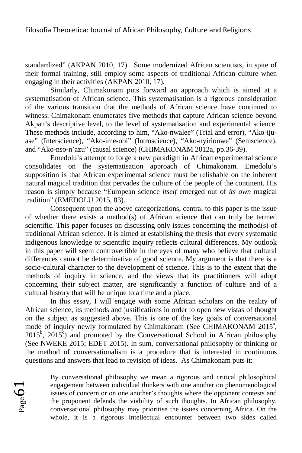standardized" (AKPAN 2010, 17). Some modernized African scientists, in spite of their formal training, still employ some aspects of traditional African culture when engaging in their activities (AKPAN 2010, 17).

Similarly, Chimakonam puts forward an approach which is aimed at a systematisation of African science. This systematisation is a rigorous consideration of the various transition that the methods of African science have continued to witness. Chimakonam enumerates five methods that capture African science beyond Akpan's descriptive level, to the level of systematisation and experimental science. These methods include, according to him, "Ako-nwalee" (Trial and error), "Ako-ijuase" (Interscience), "Ako-ime-obi" (Introscience), "Ako-nyirionwe" (Semscience), and "Ako-nso-n'azu" (causal science) (CHIMAKONAM 2012a, pp.36-39).

Emedolu's attempt to forge a new paradigm in African experimental science consolidates on the systematisation approach of Chimakonam. Emedolu's supposition is that African experimental science must be relishable on the inherent natural magical tradition that pervades the culture of the people of the continent. His reason is simply because "European science *itself* emerged out of *its own* magical tradition" (EMEDOLU 2015, 83).

Consequent upon the above categorizations, central to this paper is the issue of whether there exists a method(s) of African science that can truly be termed scientific. This paper focuses on discussing only issues concerning the method(s) of traditional African science. It is aimed at establishing the thesis that every systematic indigenous knowledge or scientific inquiry reflects cultural differences. My outlook in this paper will seem controvertible in the eyes of many who believe that cultural differences cannot be determinative of good science. My argument is that there is a socio-cultural character to the development of science. This is to the extent that the methods of inquiry in science, and the views that its practitioners will adopt concerning their subject matter, are significantly a function of culture and of a cultural history that will be unique to a time and a place.

In this essay, I will engage with some African scholars on the reality of African science, its methods and justifications in order to open new vistas of thought on the subject as suggested above. This is one of the key goals of conversational mode of inquiry newly formulated by Chimakonam (See CHIMAKONAM 2015<sup>a</sup>,  $2015^b$ ,  $2015^c$ ) and promoted by the Conversational School in African philosophy (See NWEKE 2015; EDET 2015). In sum, conversational philosophy or thinking or the method of conversationalism is a procedure that is interested in continuous questions and answers that lead to revision of ideas. As Chimakonam puts it:



By conversational philosophy we mean a rigorous and critical philosophical engagement between individual thinkers with one another on phenomenological issues of concern or on one another's thoughts where the opponent contests and the proponent defends the viability of such thoughts. In African philosophy, conversational philosophy may prioritise the issues concerning Africa. On the whole, it is a rigorous intellectual encounter between two sides called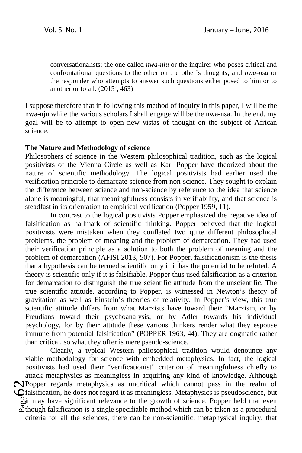conversationalists; the one called *nwa-nju* or the inquirer who poses critical and confrontational questions to the other on the other's thoughts; and *nwa-nsa* or the responder who attempts to answer such questions either posed to him or to another or to all.  $(2015^{\circ}, 463)$ 

I suppose therefore that in following this method of inquiry in this paper, I will be the nwa-nju while the various scholars I shall engage will be the nwa-nsa. In the end, my goal will be to attempt to open new vistas of thought on the subject of African science.

### **The Nature and Methodology of science**

Philosophers of science in the Western philosophical tradition, such as the logical positivists of the Vienna Circle as well as Karl Popper have theorized about the nature of scientific methodology. The logical positivists had earlier used the verification principle to demarcate science from non-science. They sought to explain the difference between science and non-science by reference to the idea that science alone is meaningful, that meaningfulness consists in verifiability, and that science is steadfast in its orientation to empirical verification (Popper 1959, 11).

In contrast to the logical positivists Popper emphasized the negative idea of falsification as hallmark of scientific thinking. Popper believed that the logical positivists were mistaken when they conflated two quite different philosophical problems, the problem of meaning and the problem of demarcation. They had used their verification principle as a solution to both the problem of meaning and the problem of demarcation (AFISI 2013, 507). For Popper, falsificationism is the thesis that a hypothesis can be termed scientific only if it has the potential to be refuted. A theory is scientific only if it is falsifiable. Popper thus used falsification as a criterion for demarcation to distinguish the true scientific attitude from the unscientific. The true scientific attitude, according to Popper, is witnessed in Newton's theory of gravitation as well as Einstein's theories of relativity. In Popper's view, this true scientific attitude differs from what Marxists have toward their "Marxism, or by Freudians toward their psychoanalysis, or by Adler towards his individual psychology, for by their attitude these various thinkers render what they espouse immune from potential falsification" (POPPER 1963, 44). They are dogmatic rather than critical, so what they offer is mere pseudo-science.

 $\bigcup_{\substack{\text{b}}{\text{right}}\atop \text{right}}$ Clearly, a typical Western philosophical tradition would denounce any viable methodology for science with embedded metaphysics. In fact, the logical positivists had used their "verificationist" criterion of meaningfulness chiefly to attack metaphysics as meaningless in acquiring any kind of knowledge. Although Popper regards metaphysics as uncritical which cannot pass in the realm of falsification, he does not regard it as meaningless. Metaphysics is pseudoscience, but Bot may have significant relevance to the growth of science. Popper held that even  $\mathbb{Z}$ though falsification is a single specifiable method which can be taken as a procedural criteria for all the sciences, there can be non-scientific, metaphysical inquiry, that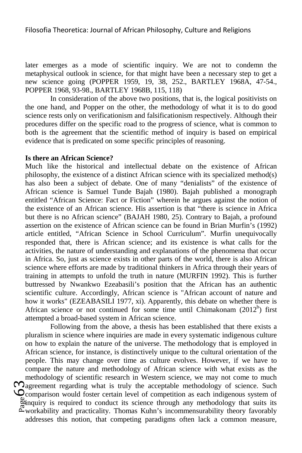later emerges as a mode of scientific inquiry. We are not to condemn the metaphysical outlook in science, for that might have been a necessary step to get a new science going (POPPER 1959, 19, 38, 252., BARTLEY 1968A, 47-54., POPPER 1968, 93-98., BARTLEY 1968B, 115, 118)

In consideration of the above two positions, that is, the logical positivists on the one hand, and Popper on the other, the methodology of what it is to do good science rests only on verificationism and falsificationism respectively. Although their procedures differ on the specific road to the progress of science, what is common to both is the agreement that the scientific method of inquiry is based on empirical evidence that is predicated on some specific principles of reasoning.

#### **Is there an African Science?**

Much like the historical and intellectual debate on the existence of African philosophy, the existence of a distinct African science with its specialized method(s) has also been a subject of debate. One of many "denialists" of the existence of African science is Samuel Tunde Bajah (1980). Bajah published a monograph entitled "African Science: Fact or Fiction" wherein he argues against the notion of the existence of an African science. His assertion is that "there is science in Africa but there is no African science" (BAJAH 1980, 25). Contrary to Bajah, a profound assertion on the existence of African science can be found in Brian Murfin's (1992) article entitled, "African Science in School Curriculum". Murfin unequivocally responded that, there is African science; and its existence is what calls for the activities, the nature of understanding and explanations of the phenomena that occur in Africa. So, just as science exists in other parts of the world, there is also African science where efforts are made by traditional thinkers in Africa through their years of training in attempts to unfold the truth in nature (MURFIN 1992). This is further buttressed by Nwankwo Ezeabasili's position that the African has an authentic scientific culture. Accordingly, African science is "African account of nature and how it works" (EZEABASILI 1977, xi). Apparently, this debate on whether there is African science or not continued for some time until Chimakonam  $(2012<sup>b</sup>)$  first attempted a broad-based system in African science.

 $\sum_{\substack{\text{gen} \ \text{B} \ \text{non} \ \text{non} }}$ Following from the above, a thesis has been established that there exists a pluralism in science where inquiries are made in every systematic indigenous culture on how to explain the nature of the universe. The methodology that is employed in African science, for instance, is distinctively unique to the cultural orientation of the people. This may change over time as culture evolves. However, if we have to compare the nature and methodology of African science with what exists as the methodology of scientific research in Western science, we may not come to much  $\Omega$ agreement regarding what is truly the acceptable methodology of science. Such Comparison would foster certain level of competition as each indigenous system of inquiry is required to conduct its science through any methodology that suits its workability and practicality. Thomas Kuhn's incommensurability theory favorably addresses this notion, that competing paradigms often lack a common measure,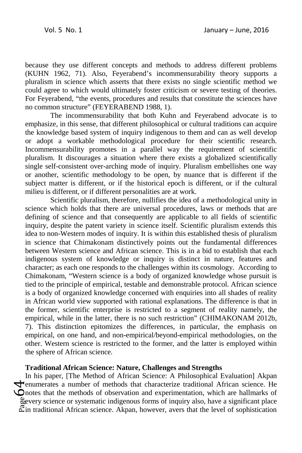because they use different concepts and methods to address different problems (KUHN 1962, 71). Also, Feyerabend's incommensurability theory supports a pluralism in science which asserts that there exists no single scientific method we could agree to which would ultimately foster criticism or severe testing of theories. For Feyerabend, "the events, procedures and results that constitute the sciences have no common structure" (FEYERABEND 1988, 1).

The incommensurability that both Kuhn and Feyerabend advocate is to emphasize, in this sense, that different philosophical or cultural traditions can acquire the knowledge based system of inquiry indigenous to them and can as well develop or adopt a workable methodological procedure for their scientific research. Incommensurability promotes in a parallel way the requirement of scientific pluralism. It discourages a situation where there exists a globalized scientifically single self-consistent over-arching mode of inquiry. Pluralism embellishes one way or another, scientific methodology to be open, by nuance that is different if the subject matter is different, or if the historical epoch is different, or if the cultural milieu is different, or if different personalities are at work.

Scientific pluralism, therefore, nullifies the idea of a methodological unity in science which holds that there are universal procedures, laws or methods that are defining of science and that consequently are applicable to all fields of scientific inquiry, despite the patent variety in science itself. Scientific pluralism extends this idea to non-Western modes of inquiry. It is within this established thesis of pluralism in science that Chimakonam distinctively points out the fundamental differences between Western science and African science. This is in a bid to establish that each indigenous system of knowledge or inquiry is distinct in nature, features and character; as each one responds to the challenges within its cosmology. According to Chimakonam, "Western science is a body of organized knowledge whose pursuit is tied to the principle of empirical, testable and demonstrable protocol. African science is a body of organized knowledge concerned with enquiries into all shades of reality in African world view supported with rational explanations. The difference is that in the former, scientific enterprise is restricted to a segment of reality namely, the empirical, while in the latter, there is no such restriction" (CHIMAKONAM 2012b, 7). This distinction epitomizes the differences, in particular, the emphasis on empirical, on one hand, and non-empirical/beyond-empirical methodologies, on the other. Western science is restricted to the former, and the latter is employed within the sphere of African science.

## **Traditional African Science: Nature, Challenges and Strengths**

 $\mathcal{L}_{\text{meas}}^{\text{en}}$ In his paper, [The Method of African Science: A Philosophical Evaluation] Akpan enumerates a number of methods that characterize traditional African science. He notes that the methods of observation and experimentation, which are hallmarks of every science or systematic indigenous forms of inquiry also, have a significant place  $\tilde{\mathbb{C}}$ in traditional African science. Akpan, however, avers that the level of sophistication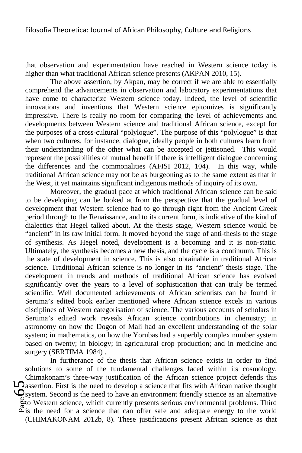that observation and experimentation have reached in Western science today is higher than what traditional African science presents (AKPAN 2010, 15).

The above assertion, by Akpan, may be correct if we are able to essentially comprehend the advancements in observation and laboratory experimentations that have come to characterize Western science today. Indeed, the level of scientific innovations and inventions that Western science epitomizes is significantly impressive. There is really no room for comparing the level of achievements and developments between Western science and traditional African science, except for the purposes of a cross-cultural "polylogue". The purpose of this "polylogue" is that when two cultures, for instance, dialogue, ideally people in both cultures learn from their understanding of the other what can be accepted or jettisoned. This would represent the possibilities of mutual benefit if there is intelligent dialogue concerning the differences and the commonalities (AFISI 2012, 104). In this way, while traditional African science may not be as burgeoning as to the same extent as that in the West, it yet maintains significant indigenous methods of inquiry of its own.

Moreover, the gradual pace at which traditional African science can be said to be developing can be looked at from the perspective that the gradual level of development that Western science had to go through right from the Ancient Greek period through to the Renaissance, and to its current form, is indicative of the kind of dialectics that Hegel talked about. At the thesis stage, Western science would be "ancient" in its raw initial form. It moved beyond the stage of anti-thesis to the stage of synthesis. As Hegel noted, development is a becoming and it is non-static. Ultimately, the synthesis becomes a new thesis, and the cycle is a continuum. This is the state of development in science. This is also obtainable in traditional African science. Traditional African science is no longer in its "ancient" thesis stage. The development in trends and methods of traditional African science has evolved significantly over the years to a level of sophistication that can truly be termed scientific. Well documented achievements of African scientists can be found in Sertima's edited book earlier mentioned where African science excels in various disciplines of Western categorisation of science. The various accounts of scholars in Sertima's edited work reveals African science contributions in chemistry; in astronomy on how the Dogon of Mali had an excellent understanding of the solar system; in mathematics, on how the Yorubas had a superbly complex number system based on twenty; in biology; in agricultural crop production; and in medicine and surgery (SERTIMA 1984) .

 $\bigcup_{\substack{\text{g} \text{to} \\ \text{ratio}}}$ In furtherance of the thesis that African science exists in order to find solutions to some of the fundamental challenges faced within its cosmology, Chimakonam's three-way justification of the African science project defends this  $\Box$  assertion. First is the need to develop a science that fits with African native thought system. Second is the need to have an environment friendly science as an alternative to Western science, which currently presents serious environmental problems. Third  $\tilde{\mathbb{Z}}$  is the need for a science that can offer safe and adequate energy to the world (CHIMAKONAM 2012b, 8). These justifications present African science as that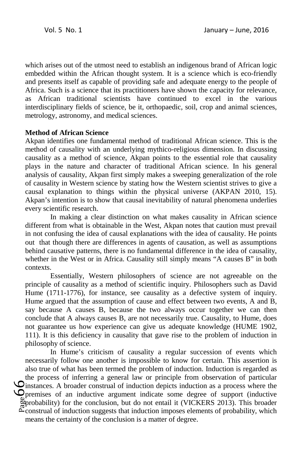which arises out of the utmost need to establish an indigenous brand of African logic embedded within the African thought system. It is a science which is eco-friendly and presents itself as capable of providing safe and adequate energy to the people of Africa. Such is a science that its practitioners have shown the capacity for relevance, as African traditional scientists have continued to excel in the various interdisciplinary fields of science, be it, orthopaedic, soil, crop and animal sciences, metrology, astronomy, and medical sciences.

### **Method of African Science**

Akpan identifies one fundamental method of traditional African science. This is the method of causality with an underlying mythico-religious dimension. In discussing causality as a method of science, Akpan points to the essential role that causality plays in the nature and character of traditional African science. In his general analysis of causality, Akpan first simply makes a sweeping generalization of the role of causality in Western science by stating how the Western scientist strives to give a causal explanation to things within the physical universe (AKPAN 2010, 15). Akpan's intention is to show that causal inevitability of natural phenomena underlies every scientific research.

In making a clear distinction on what makes causality in African science different from what is obtainable in the West, Akpan notes that caution must prevail in not confusing the idea of causal explanations with the idea of causality. He points out that though there are differences in agents of causation, as well as assumptions behind causative patterns, there is no fundamental difference in the idea of causality, whether in the West or in Africa. Causality still simply means "A causes B" in both contexts.

Essentially, Western philosophers of science are not agreeable on the principle of causality as a method of scientific inquiry. Philosophers such as David Hume (1711-1776), for instance, see causality as a defective system of inquiry. Hume argued that the assumption of cause and effect between two events, A and B, say because A causes B, because the two always occur together we can then conclude that A always causes B, are not necessarily true. Causality, to Hume, does not guarantee us how experience can give us adequate knowledge (HUME 1902, 111). It is this deficiency in causality that gave rise to the problem of induction in philosophy of science.

 $\bigcup_{\substack{\text{open} \\ \text{apro}}}\n \begin{bmatrix}\n \text{ins} \\
\text{appro} \\
\text{appro} \\
\text{prop} \\
\text{prop} \\
\text{prop} \\
\text{prop} \\
\text{prop} \\
\text{prop} \\
\text{prop} \\
\text{prop} \\
\text{prop} \\
\text{prop} \\
\text{prop} \\
\text{prop} \\
\text{prop} \\
\text{prop} \\
\text{prop} \\
\text{prop} \\
\text{prop} \\
\text{prop} \\
\text{prop} \\
\text{prop} \\
\text{prop} \\
\text{prop} \\
\text{prop} \\
\text{prop} \\
\text{prop} \\
\text{prop} \\
\text{prop} \\
\text{prop} \\
\text{prop$ In Hume's criticism of causality a regular succession of events which necessarily follow one another is impossible to know for certain. This assertion is also true of what has been termed the problem of induction. Induction is regarded as the process of inferring a general law or principle from observation of particular instances. A broader construal of induction depicts induction as a process where the premises of an inductive argument indicate some degree of support (inductive probability) for the conclusion, but do not entail it (VICKERS 2013). This broader construal of induction suggests that induction imposes elements of probability, which means the certainty of the conclusion is a matter of degree.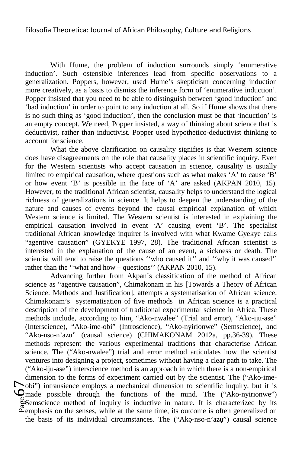With Hume, the problem of induction surrounds simply 'enumerative induction'. Such ostensible inferences lead from specific observations to a generalization. Poppers, however, used Hume's skepticism concerning induction more creatively, as a basis to dismiss the inference form of 'enumerative induction'. Popper insisted that you need to be able to distinguish between 'good induction' and 'bad induction' in order to point to any induction at all. So if Hume shows that there is no such thing as 'good induction', then the conclusion must be that 'induction' is an empty concept. We need, Popper insisted, a way of thinking about science that is deductivist, rather than inductivist. Popper used hypothetico-deductivist thinking to account for science.

What the above clarification on causality signifies is that Western science does have disagreements on the role that causality places in scientific inquiry. Even for the Western scientists who accept causation in science, causality is usually limited to empirical causation, where questions such as what makes 'A' to cause 'B' or how event 'B' is possible in the face of 'A' are asked (AKPAN 2010, 15). However, to the traditional African scientist, causality helps to understand the logical richness of generalizations in science. It helps to deepen the understanding of the nature and causes of events beyond the causal empirical explanation of which Western science is limited. The Western scientist is interested in explaining the empirical causation involved in event 'A' causing event 'B'. The specialist traditional African knowledge inquirer is involved with what Kwame Gyekye calls "agentive causation" (GYEKYE 1997, 28). The traditional African scientist is interested in the explanation of the cause of an event, a sickness or death. The scientist will tend to raise the questions ''who caused it'' and ''why it was caused'' rather than the ''what and how – questions'' (AKPAN 2010, 15).

 $\sum_{\substack{\text{blue} \ \text{base} \\ \text{blue}}}$ Advancing further from Akpan's classification of the method of African science as "agentive causation", Chimakonam in his [Towards a Theory of African Science: Methods and Justification], attempts a systematisation of African science. Chimakonam's systematisation of five methods in African science is a practical description of the development of traditional experimental science in Africa. These methods include, according to him, "Ako-nwalee" (Trial and error), "Ako-iju-ase" (Interscience), "Ako-ime-obi" (Introscience), "Ako-nyirionwe" (Semscience), and "Ako-nso-n'azu" (causal science) (CHIMAKONAM 2012a, pp.36-39). These methods represent the various experimental traditions that characterise African science. The ("Ako-nwalee") trial and error method articulates how the scientist ventures into designing a project, sometimes without having a clear path to take. The ("Ako-iju-ase") interscience method is an approach in which there is a non-empirical dimension to the forms of experiment carried out by the scientist. The ("Ako-imeobi") intransience employs a mechanical dimension to scientific inquiry, but it is made possible through the functions of the mind. The ("Ako-nyirionwe") Semscience method of inquiry is inductive in nature. It is characterized by its  $\mathbb{E}_{\text{emphasis on the senses, while at the same time, its outcome is often generalized on}$ the basis of its individual circumstances. The ("Akọ-nso-n'azụ") causal science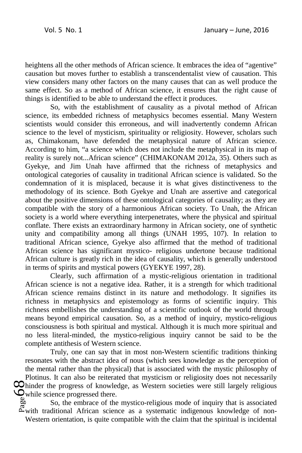heightens all the other methods of African science. It embraces the idea of "agentive" causation but moves further to establish a transcendentalist view of causation. This view considers many other factors on the many causes that can as well produce the same effect. So as a method of African science, it ensures that the right cause of things is identified to be able to understand the effect it produces.

So, with the establishment of causality as a pivotal method of African science, its embedded richness of metaphysics becomes essential. Many Western scientists would consider this erroneous, and will inadvertently condemn African science to the level of mysticism, spirituality or religiosity. However, scholars such as, Chimakonam, have defended the metaphysical nature of African science. According to him, "a science which does not include the metaphysical in its map of reality is surely not...African science" (CHIMAKONAM 2012a, 35). Others such as Gyekye, and Jim Unah have affirmed that the richness of metaphysics and ontological categories of causality in traditional African science is validated. So the condemnation of it is misplaced, because it is what gives distinctiveness to the methodology of its science. Both Gyekye and Unah are assertive and categorical about the positive dimensions of these ontological categories of causality; as they are compatible with the story of a harmonious African society. To Unah, the African society is a world where everything interpenetrates, where the physical and spiritual conflate. There exists an extraordinary harmony in African society, one of synthetic unity and compatibility among all things (UNAH 1995, 107). In relation to traditional African science, Gyekye also affirmed that the method of traditional African science has significant mystico- religious undertone because traditional African culture is greatly rich in the idea of causality, which is generally understood in terms of spirits and mystical powers (GYEKYE 1997, 28).

Clearly, such affirmation of a mystic-religious orientation in traditional African science is not a negative idea. Rather, it is a strength for which traditional African science remains distinct in its nature and methodology. It signifies its richness in metaphysics and epistemology as forms of scientific inquiry. This richness embellishes the understanding of a scientific outlook of the world through means beyond empirical causation. So, as a method of inquiry, mystico-religious consciousness is both spiritual and mystical. Although it is much more spiritual and no less literal-minded, the mystico-religious inquiry cannot be said to be the complete antithesis of Western science.

 $\bigotimes_{\substack{\text{def} \ \text{g} \ \text{g} \ \text{g} \ \text{g} \ \text{g} \ \text{g} \ \text{g} \ \text{g} \ \text{g} \ \text{g} \ \text{g} \ \text{g} \ \text{g} \ \text{g} \ \text{g} \ \text{g} \ \text{g} \ \text{g} \ \text{g} \ \text{g} \ \text{g} \ \text{g} \ \text{g} \ \text{g} \ \text{g} \ \text{g} \ \text{g} \ \text{g} \ \text{g} \ \text{g} \ \text{g} \ \text{g} \ \text{g} \ \text{g} \ \text$ Truly, one can say that in most non-Western scientific traditions thinking resonates with the abstract idea of nous (which sees knowledge as the perception of the mental rather than the physical) that is associated with the mystic philosophy of Plotinus. It can also be reiterated that mysticism or religiosity does not necessarily hinder the progress of knowledge, as Western societies were still largely religious while science progressed there.

So, the embrace of the mystico-religious mode of inquiry that is associated with traditional African science as a systematic indigenous knowledge of non-Western orientation, is quite compatible with the claim that the spiritual is incidental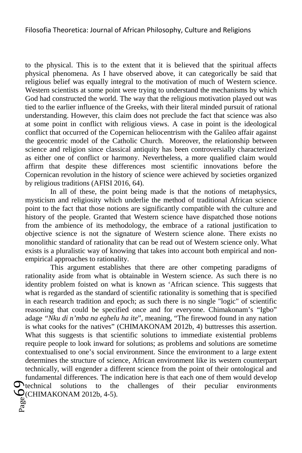to the physical. This is to the extent that it is believed that the spiritual affects physical phenomena. As I have observed above, it can categorically be said that religious belief was equally integral to the motivation of much of Western science. Western scientists at some point were trying to understand the mechanisms by which God had constructed the world. The way that the religious motivation played out was tied to the earlier influence of the Greeks, with their literal minded pursuit of rational understanding. However, this claim does not preclude the fact that science was also at some point in conflict with religious views. A case in point is the ideological conflict that occurred of the Copernican heliocentrism with the Galileo affair against the geocentric model of the Catholic Church. Moreover, the relationship between science and religion since classical antiquity has been controversially characterized as either one of conflict or harmony. Nevertheless, a more qualified claim would affirm that despite these differences most scientific innovations before the Copernican revolution in the history of science were achieved by societies organized by religious traditions (AFISI 2016, 64).

In all of these, the point being made is that the notions of metaphysics, mysticism and religiosity which underlie the method of traditional African science point to the fact that those notions are significantly compatible with the culture and history of the people. Granted that Western science have dispatched those notions from the ambience of its methodology, the embrace of a rational justification to objective science is not the signature of Western science alone. There exists no monolithic standard of rationality that can be read out of Western science only. What exists is a pluralistic way of knowing that takes into account both empirical and nonempirical approaches to rationality.

 $\mathcal{G}^{\text{tec}}_{\text{Rag}(\text{C})}$ This argument establishes that there are other competing paradigms of rationality aside from what is obtainable in Western science. As such there is no identity problem foisted on what is known as 'African science. This suggests that what is regarded as the standard of scientific rationality is something that is specified in each research tradition and epoch; as such there is no single "logic" of scientific reasoning that could be specified once and for everyone. Chimakonam's "Igbo" adage *"Nku di n'mba na eghelu ha ite*", meaning, "The firewood found in any nation is what cooks for the natives" (CHIMAKONAM 2012b, 4) buttresses this assertion. What this suggests is that scientific solutions to immediate existential problems require people to look inward for solutions; as problems and solutions are sometime contextualised to one's social environment. Since the environment to a large extent determines the structure of science, African environment like its western counterpart technically, will engender a different science from the point of their ontological and fundamental differences. The indication here is that each one of them would develop  $\bigcirc$  technical solutions to the challenges of their peculiar environments to the challenges of their peculiar environments (CHIMAKONAM 2012b, 4-5).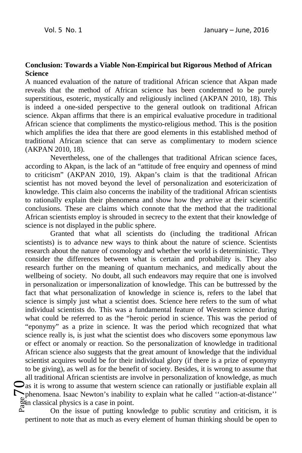### **Conclusion: Towards a Viable Non-Empirical but Rigorous Method of African Science**

A nuanced evaluation of the nature of traditional African science that Akpan made reveals that the method of African science has been condemned to be purely superstitious, esoteric, mystically and religiously inclined (AKPAN 2010, 18). This is indeed a one-sided perspective to the general outlook on traditional African science. Akpan affirms that there is an empirical evaluative procedure in traditional African science that compliments the mystico-religious method. This is the position which amplifies the idea that there are good elements in this established method of traditional African science that can serve as complimentary to modern science (AKPAN 2010, 18).

Nevertheless, one of the challenges that traditional African science faces, according to Akpan, is the lack of an "attitude of free enquiry and openness of mind to criticism" (AKPAN 2010, 19). Akpan's claim is that the traditional African scientist has not moved beyond the level of personalization and esotericization of knowledge. This claim also concerns the inability of the traditional African scientists to rationally explain their phenomena and show how they arrive at their scientific conclusions. These are claims which connote that the method that the traditional African scientists employ is shrouded in secrecy to the extent that their knowledge of science is not displayed in the public sphere.

 $\sum_{\substack{\text{gen} \ \text{A} \ \text{gen}}} \text{n}$ Granted that what all scientists do (including the traditional African scientists) is to advance new ways to think about the nature of science. Scientists research about the nature of cosmology and whether the world is deterministic. They consider the differences between what is certain and probability is. They also research further on the meaning of quantum mechanics, and medically about the wellbeing of society. No doubt, all such endeavors may require that one is involved in personalization or impersonalization of knowledge. This can be buttressed by the fact that what personalization of knowledge in science is, refers to the label that science is simply just what a scientist does. Science here refers to the sum of what individual scientists do. This was a fundamental feature of Western science during what could be referred to as the "heroic period in science. This was the period of "eponymy" as a prize in science. It was the period which recognized that what science really is, is just what the scientist does who discovers some eponymous law or effect or anomaly or reaction. So the personalization of knowledge in traditional African science also suggests that the great amount of knowledge that the individual scientist acquires would be for their individual glory (if there is a prize of eponymy to be giving), as well as for the benefit of society. Besides, it is wrong to assume that all traditional African scientists are involve in personalization of knowledge, as much  $\Box$  as it is wrong to assume that western science can rationally or justifiable explain all phenomena. Isaac Newton's inability to explain what he called ''action-at-distance'' in classical physics is a case in point.

On the issue of putting knowledge to public scrutiny and criticism, it is pertinent to note that as much as every element of human thinking should be open to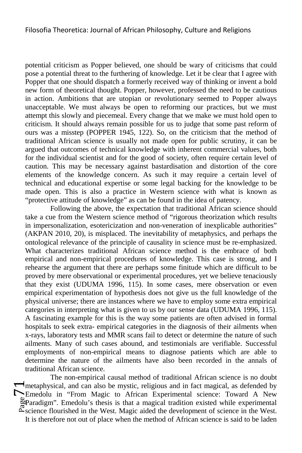potential criticism as Popper believed, one should be wary of criticisms that could pose a potential threat to the furthering of knowledge. Let it be clear that I agree with Popper that one should dispatch a formerly received way of thinking or invent a bold new form of theoretical thought. Popper, however, professed the need to be cautious in action. Ambitions that are utopian or revolutionary seemed to Popper always unacceptable. We must always be open to reforming our practices, but we must attempt this slowly and piecemeal. Every change that we make we must hold open to criticism. It should always remain possible for us to judge that some past reform of ours was a misstep (POPPER 1945, 122). So, on the criticism that the method of traditional African science is usually not made open for public scrutiny, it can be argued that outcomes of technical knowledge with inherent commercial values, both for the individual scientist and for the good of society, often require certain level of caution. This may be necessary against bastardisation and distortion of the core elements of the knowledge concern. As such it may require a certain level of technical and educational expertise or some legal backing for the knowledge to be made open. This is also a practice in Western science with what is known as "protective attitude of knowledge" as can be found in the idea of patency.

Following the above, the expectation that traditional African science should take a cue from the Western science method of "rigorous theorization which results in impersonalization, esotericization and non-veneration of inexplicable authorities" (AKPAN 2010, 20), is misplaced. The inevitability of metaphysics, and perhaps the ontological relevance of the principle of causality in science must be re-emphasized. What characterizes traditional African science method is the embrace of both empirical and non-empirical procedures of knowledge. This case is strong, and I rehearse the argument that there are perhaps some finitude which are difficult to be proved by mere observational or experimental procedures, yet we believe tenaciously that they exist (UDUMA 1996, 115). In some cases, mere observation or even empirical experimentation of hypothesis does not give us the full knowledge of the physical universe; there are instances where we have to employ some extra empirical categories in interpreting what is given to us by our sense data (UDUMA 1996, 115). A fascinating example for this is the way some patients are often advised in formal hospitals to seek extra- empirical categories in the diagnosis of their ailments when x-rays, laboratory tests and MMR scans fail to detect or determine the nature of such ailments. Many of such cases abound, and testimonials are verifiable. Successful employments of non-empirical means to diagnose patients which are able to determine the nature of the ailments have also been recorded in the annals of traditional African science.

 $\sum_{\substack{\text{gebras}\ \text{a}\\\text{a}\\\text{a}\\\text{b}\\\text{c}\\\text{c}}}$ The non-empirical causal method of traditional African science is no doubt metaphysical, and can also be mystic, religious and in fact magical, as defended by Emedolu in "From Magic to African Experimental science: Toward A New Paradigm". Emedolu's thesis is that a magical tradition existed while experimental science flourished in the West. Magic aided the development of science in the West. It is therefore not out of place when the method of African science is said to be laden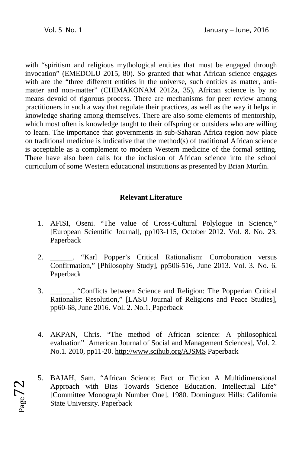$Page<sub>2</sub>$ 

with "spiritism and religious mythological entities that must be engaged through invocation" (EMEDOLU 2015, 80). So granted that what African science engages with are the "three different entities in the universe, such entities as matter, antimatter and non-matter" (CHIMAKONAM 2012a, 35), African science is by no means devoid of rigorous process. There are mechanisms for peer review among practitioners in such a way that regulate their practices, as well as the way it helps in knowledge sharing among themselves. There are also some elements of mentorship, which most often is knowledge taught to their offspring or outsiders who are willing to learn. The importance that governments in sub-Saharan Africa region now place on traditional medicine is indicative that the method(s) of traditional African science is acceptable as a complement to modern Western medicine of the formal setting. There have also been calls for the inclusion of African science into the school curriculum of some Western educational institutions as presented by Brian Murfin.

# **Relevant Literature**

- 1. AFISI, Oseni. "The value of Cross-Cultural Polylogue in Science," [European Scientific Journal], pp103-115, October 2012. Vol. 8. No. 23. Paperback
- 2. \_\_\_\_\_\_. "Karl Popper's Critical Rationalism: Corroboration versus Confirmation," [Philosophy Study], pp506-516, June 2013. Vol. 3. No. 6. Paperback
- 3. \_\_\_\_\_\_. "Conflicts between Science and Religion: The Popperian Critical Rationalist Resolution," [LASU Journal of Religions and Peace Studies], pp60-68, June 2016. Vol. 2. No.1. Paperback
- 4. AKPAN, Chris. "The method of African science: A philosophical evaluation" [American Journal of Social and Management Sciences], Vol. 2. No.1. 2010, pp11-20. http://www.scihub.org/AJSMS Paperback
- 5. BAJAH, Sam. "African Science: Fact or Fiction A Multidimensional Approach with Bias Towards Science Education. Intellectual Life" [Committee Monograph Number One], 1980. Dominguez Hills: California State University. Paperback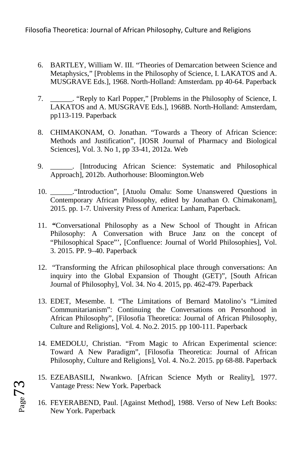- 6. BARTLEY, William W. III. "Theories of Demarcation between Science and Metaphysics," [Problems in the Philosophy of Science, I. LAKATOS and A. MUSGRAVE Eds.], 1968. North-Holland: Amsterdam. pp 40-64. Paperback
- 7. \_\_\_\_\_\_. "Reply to Karl Popper," [Problems in the Philosophy of Science, I. LAKATOS and A. MUSGRAVE Eds.], 1968B. North-Holland: Amsterdam, pp113-119. Paperback
- 8. CHIMAKONAM, O. Jonathan. "Towards a Theory of African Science: Methods and Justification", [IOSR Journal of Pharmacy and Biological Sciences], Vol. 3. No 1, pp 33-41, 2012a. Web
- 9. \_\_\_\_\_\_. [Introducing African Science: Systematic and Philosophical Approach], 2012b. Authorhouse: Bloomington.Web
- 10. \_\_\_\_\_\_."Introduction", [Atuolu Omalu: Some Unanswered Questions in Contemporary African Philosophy, edited by Jonathan O. Chimakonam], 2015. pp. 1-7*.* University Press of America: Lanham, Paperback.
- 11. **"**Conversational Philosophy as a New School of Thought in African Philosophy: A Conversation with Bruce Janz on the concept of "Philosophical Space"', [Confluence: Journal of World Philosophies], Vol. 3. 2015. PP. 9–40. Paperback
- 12. "Transforming the African philosophical place through conversations: An inquiry into the Global Expansion of Thought (GET)", [South African Journal of Philosophy], Vol. 34. No 4. 2015, pp. 462-479. Paperback
- 13. EDET, Mesembe. I. "The Limitations of Bernard Matolino's "Limited Communitarianism": Continuing the Conversations on Personhood in African Philosophy", [Filosofia Theoretica: Journal of African Philosophy, Culture and Religions], Vol. 4. No.2. 2015. pp 100-111. Paperback
- 14. EMEDOLU, Christian. "From Magic to African Experimental science: Toward A New Paradigm", [Filosofia Theoretica: Journal of African Philosophy, Culture and Religions], Vol. 4. No.2. 2015. pp 68-88. Paperback
- 15. EZEABASILI, Nwankwo. [African Science Myth or Reality], 1977. Vantage Press: New York. Paperback
- 16. FEYERABEND, Paul. [Against Method], 1988. Verso of New Left Books: New York. Paperback

 $P<sub>age</sub>73$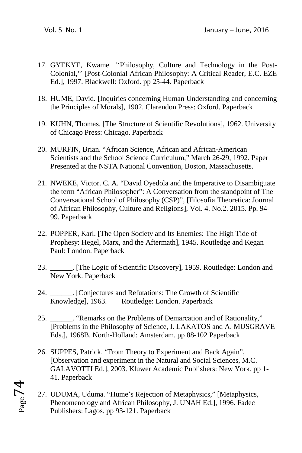- 17. GYEKYE, Kwame. ''Philosophy, Culture and Technology in the Post-Colonial,'' [Post-Colonial African Philosophy: A Critical Reader, E.C. EZE Ed.], 1997. Blackwell: Oxford. pp 25-44. Paperback
- 18. HUME, David. [Inquiries concerning Human Understanding and concerning the Principles of Morals], 1902. Clarendon Press: Oxford. Paperback
- 19. KUHN, Thomas. [The Structure of Scientific Revolutions], 1962. University of Chicago Press: Chicago. Paperback
- 20. MURFIN, Brian. "African Science, African and African-American Scientists and the School Science Curriculum," March 26-29, 1992. Paper Presented at the NSTA National Convention, Boston, Massachusetts.
- 21. NWEKE, Victor. C. A. "David Oyedola and the Imperative to Disambiguate the term "African Philosopher": A Conversation from the standpoint of The Conversational School of Philosophy (CSP)", [Filosofia Theoretica: Journal of African Philosophy, Culture and Religions], Vol. 4. No.2. 2015. Pp. 94- 99. Paperback
- 22. POPPER, Karl. [The Open Society and Its Enemies: The High Tide of Prophesy: Hegel, Marx, and the Aftermath], 1945. Routledge and Kegan Paul: London. Paperback
- 23. \_\_\_\_\_\_. [The Logic of Scientific Discovery], 1959. Routledge: London and New York. Paperback
- 24. \_\_\_\_\_\_. [Conjectures and Refutations: The Growth of Scientific Knowledge], 1963. Routledge: London. Paperback
- 25. \_\_\_\_\_\_. "Remarks on the Problems of Demarcation and of Rationality," [Problems in the Philosophy of Science, I. LAKATOS and A. MUSGRAVE Eds.], 1968B. North-Holland: Amsterdam. pp 88-102 Paperback
- 26. SUPPES, Patrick. "From Theory to Experiment and Back Again", [Observation and experiment in the Natural and Social Sciences, M.C. GALAVOTTI Ed.], 2003. Kluwer Academic Publishers: New York. pp 1- 41. Paperback
- 27. UDUMA, Uduma. "Hume's Rejection of Metaphysics," [Metaphysics, Phenomenology and African Philosophy, J. UNAH Ed.], 1996. Fadec Publishers: Lagos. pp 93-121. Paperback

 $_{Page}$ 74